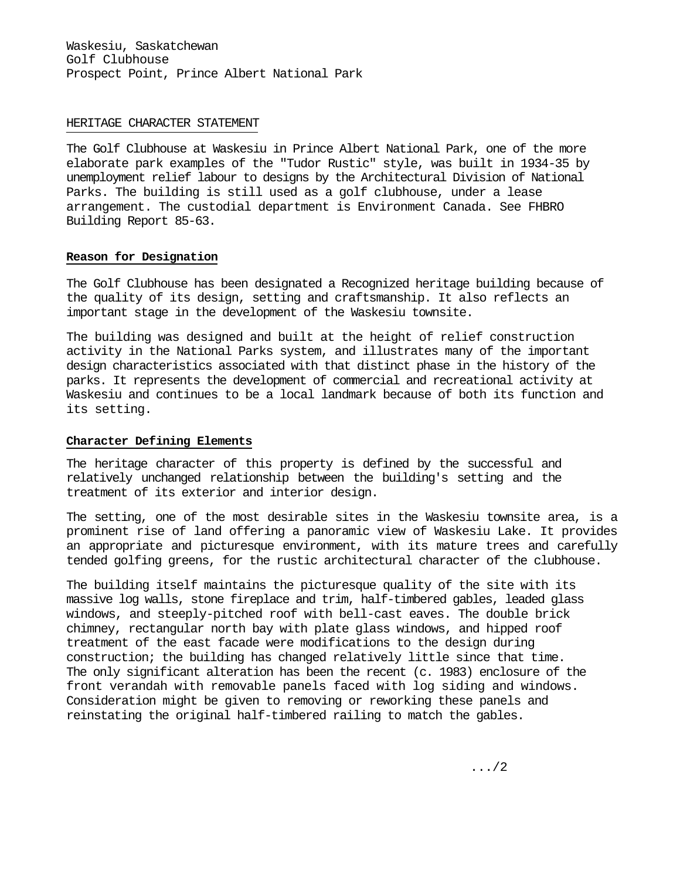Waskesiu, Saskatchewan Golf Clubhouse Prospect Point, Prince Albert National Park

## HERITAGE CHARACTER STATEMENT

The Golf Clubhouse at Waskesiu in Prince Albert National Park, one of the more elaborate park examples of the "Tudor Rustic" style, was built in 1934-35 by unemployment relief labour to designs by the Architectural Division of National Parks. The building is still used as a golf clubhouse, under a lease arrangement. The custodial department is Environment Canada. See FHBRO Building Report 85-63.

## **Reason for Designation**

The Golf Clubhouse has been designated a Recognized heritage building because of the quality of its design, setting and craftsmanship. It also reflects an important stage in the development of the Waskesiu townsite.

The building was designed and built at the height of relief construction activity in the National Parks system, and illustrates many of the important design characteristics associated with that distinct phase in the history of the parks. It represents the development of commercial and recreational activity at Waskesiu and continues to be a local landmark because of both its function and its setting.

## **Character Defining Elements**

The heritage character of this property is defined by the successful and relatively unchanged relationship between the building's setting and the treatment of its exterior and interior design.

The setting, one of the most desirable sites in the Waskesiu townsite area, is a prominent rise of land offering a panoramic view of Waskesiu Lake. It provides an appropriate and picturesque environment, with its mature trees and carefully tended golfing greens, for the rustic architectural character of the clubhouse.

The building itself maintains the picturesque quality of the site with its massive log walls, stone fireplace and trim, half-timbered gables, leaded glass windows, and steeply-pitched roof with bell-cast eaves. The double brick chimney, rectangular north bay with plate glass windows, and hipped roof treatment of the east facade were modifications to the design during construction; the building has changed relatively little since that time. The only significant alteration has been the recent (c. 1983) enclosure of the front verandah with removable panels faced with log siding and windows. Consideration might be given to removing or reworking these panels and reinstating the original half-timbered railing to match the gables.

.../2